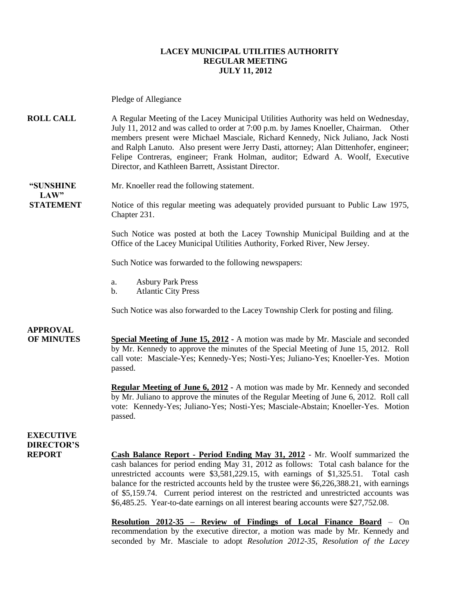#### **LACEY MUNICIPAL UTILITIES AUTHORITY REGULAR MEETING JULY 11, 2012**

Pledge of Allegiance

**ROLL CALL** A Regular Meeting of the Lacey Municipal Utilities Authority was held on Wednesday, July 11, 2012 and was called to order at 7:00 p.m. by James Knoeller, Chairman. Other members present were Michael Masciale, Richard Kennedy, Nick Juliano, Jack Nosti and Ralph Lanuto. Also present were Jerry Dasti, attorney; Alan Dittenhofer, engineer; Felipe Contreras, engineer; Frank Holman, auditor; Edward A. Woolf, Executive Director, and Kathleen Barrett, Assistant Director.

**"SUNSHINE** Mr. Knoeller read the following statement.

**STATEMENT** Notice of this regular meeting was adequately provided pursuant to Public Law 1975, Chapter 231.

> Such Notice was posted at both the Lacey Township Municipal Building and at the Office of the Lacey Municipal Utilities Authority, Forked River, New Jersey.

Such Notice was forwarded to the following newspapers:

- a. Asbury Park Press
- b. Atlantic City Press

Such Notice was also forwarded to the Lacey Township Clerk for posting and filing.

### **APPROVAL**

 $LAW"$ 

**OF MINUTES Special Meeting of June 15, 2012 -** A motion was made by Mr. Masciale and seconded by Mr. Kennedy to approve the minutes of the Special Meeting of June 15, 2012. Roll call vote: Masciale-Yes; Kennedy-Yes; Nosti-Yes; Juliano-Yes; Knoeller-Yes. Motion passed.

> **Regular Meeting of June 6, 2012 -** A motion was made by Mr. Kennedy and seconded by Mr. Juliano to approve the minutes of the Regular Meeting of June 6, 2012. Roll call vote: Kennedy-Yes; Juliano-Yes; Nosti-Yes; Masciale-Abstain; Knoeller-Yes. Motion passed.

### **EXECUTIVE DIRECTOR'S**

**REPORT Cash Balance Report - Period Ending May 31, 2012** - Mr. Woolf summarized the cash balances for period ending May 31, 2012 as follows: Total cash balance for the unrestricted accounts were \$3,581,229.15, with earnings of \$1,325.51. Total cash balance for the restricted accounts held by the trustee were \$6,226,388.21, with earnings of \$5,159.74. Current period interest on the restricted and unrestricted accounts was \$6,485.25. Year-to-date earnings on all interest bearing accounts were \$27,752.08.

> **Resolution 2012-35 – Review of Findings of Local Finance Board** – On recommendation by the executive director, a motion was made by Mr. Kennedy and seconded by Mr. Masciale to adopt *Resolution 2012-35, Resolution of the Lacey*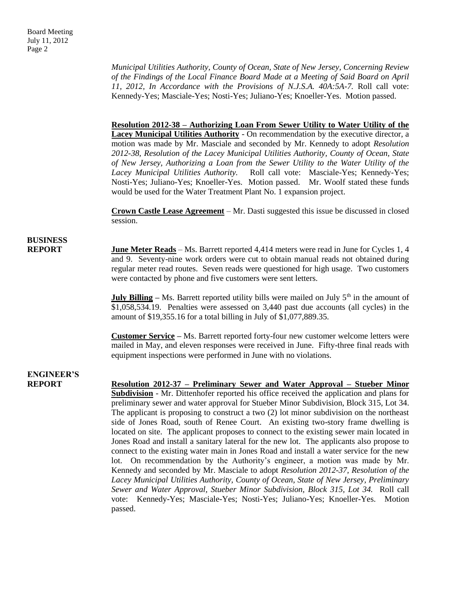*Municipal Utilities Authority, County of Ocean, State of New Jersey, Concerning Review of the Findings of the Local Finance Board Made at a Meeting of Said Board on April 11, 2012, In Accordance with the Provisions of N.J.S.A. 40A:5A-7.* Roll call vote: Kennedy-Yes; Masciale-Yes; Nosti-Yes; Juliano-Yes; Knoeller-Yes. Motion passed.

#### **Resolution 2012-38 – Authorizing Loan From Sewer Utility to Water Utility of the**

**Lacey Municipal Utilities Authority** - On recommendation by the executive director, a motion was made by Mr. Masciale and seconded by Mr. Kennedy to adopt *Resolution 2012-38, Resolution of the Lacey Municipal Utilities Authority, County of Ocean, State of New Jersey, Authorizing a Loan from the Sewer Utility to the Water Utility of the Lacey Municipal Utilities Authority.* Roll call vote: Masciale-Yes; Kennedy-Yes; Nosti-Yes; Juliano-Yes; Knoeller-Yes. Motion passed. Mr. Woolf stated these funds would be used for the Water Treatment Plant No. 1 expansion project.

**Crown Castle Lease Agreement** – Mr. Dasti suggested this issue be discussed in closed session.

# **BUSINESS**

**REPORT** June Meter Reads – Ms. Barrett reported 4,414 meters were read in June for Cycles 1, 4 and 9. Seventy-nine work orders were cut to obtain manual reads not obtained during regular meter read routes. Seven reads were questioned for high usage. Two customers were contacted by phone and five customers were sent letters.

> **July Billing** – Ms. Barrett reported utility bills were mailed on July 5<sup>th</sup> in the amount of \$1,058,534.19. Penalties were assessed on 3,440 past due accounts (all cycles) in the amount of \$19,355.16 for a total billing in July of \$1,077,889.35.

> **Customer Service –** Ms. Barrett reported forty-four new customer welcome letters were mailed in May, and eleven responses were received in June. Fifty-three final reads with equipment inspections were performed in June with no violations.

## **ENGINEER'S**

**REPORT Resolution 2012-37 – Preliminary Sewer and Water Approval – Stueber Minor Subdivision** - Mr. Dittenhofer reported his office received the application and plans for preliminary sewer and water approval for Stueber Minor Subdivision, Block 315, Lot 34. The applicant is proposing to construct a two (2) lot minor subdivision on the northeast side of Jones Road, south of Renee Court. An existing two-story frame dwelling is located on site. The applicant proposes to connect to the existing sewer main located in Jones Road and install a sanitary lateral for the new lot. The applicants also propose to connect to the existing water main in Jones Road and install a water service for the new lot. On recommendation by the Authority's engineer, a motion was made by Mr. Kennedy and seconded by Mr. Masciale to adopt *Resolution 2012-37, Resolution of the Lacey Municipal Utilities Authority, County of Ocean, State of New Jersey, Preliminary Sewer and Water Approval, Stueber Minor Subdivision, Block 315, Lot 34.* Roll call vote: Kennedy-Yes; Masciale-Yes; Nosti-Yes; Juliano-Yes; Knoeller-Yes. Motion passed.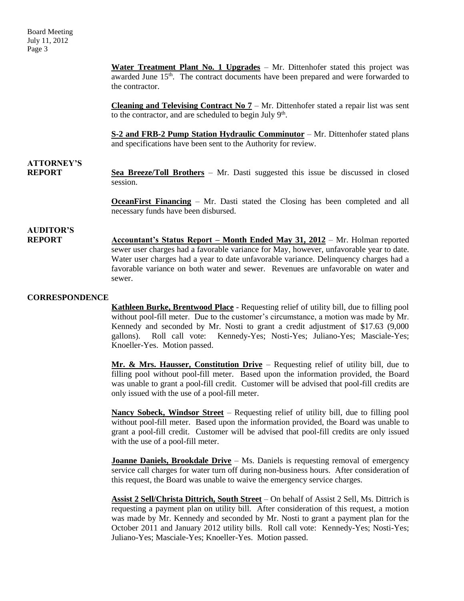**Water Treatment Plant No. 1 Upgrades** – Mr. Dittenhofer stated this project was awarded June 15<sup>th</sup>. The contract documents have been prepared and were forwarded to the contractor.

**Cleaning and Televising Contract No**  $7 - Mr$ **.** Dittenhofer stated a repair list was sent to the contractor, and are scheduled to begin July  $9<sup>th</sup>$ .

**S-2 and FRB-2 Pump Station Hydraulic Comminutor** – Mr. Dittenhofer stated plans and specifications have been sent to the Authority for review.

### **ATTORNEY'S**

**REPORT Sea Breeze/Toll Brothers** – Mr. Dasti suggested this issue be discussed in closed session.

> **OceanFirst Financing** – Mr. Dasti stated the Closing has been completed and all necessary funds have been disbursed.

## **AUDITOR'S**

**Accountant's Status Report – Month Ended May 31, 2012 – Mr. Holman reported** sewer user charges had a favorable variance for May, however, unfavorable year to date. Water user charges had a year to date unfavorable variance. Delinquency charges had a favorable variance on both water and sewer. Revenues are unfavorable on water and sewer.

#### **CORRESPONDENCE**

**Kathleen Burke, Brentwood Place** - Requesting relief of utility bill, due to filling pool without pool-fill meter. Due to the customer's circumstance, a motion was made by Mr. Kennedy and seconded by Mr. Nosti to grant a credit adjustment of \$17.63 (9,000 gallons). Roll call vote: Kennedy-Yes; Nosti-Yes; Juliano-Yes; Masciale-Yes; Knoeller-Yes. Motion passed.

**Mr. & Mrs. Hausser, Constitution Drive** – Requesting relief of utility bill, due to filling pool without pool-fill meter. Based upon the information provided, the Board was unable to grant a pool-fill credit. Customer will be advised that pool-fill credits are only issued with the use of a pool-fill meter.

**Nancy Sobeck, Windsor Street** – Requesting relief of utility bill, due to filling pool without pool-fill meter. Based upon the information provided, the Board was unable to grant a pool-fill credit. Customer will be advised that pool-fill credits are only issued with the use of a pool-fill meter.

**Joanne Daniels, Brookdale Drive** – Ms. Daniels is requesting removal of emergency service call charges for water turn off during non-business hours. After consideration of this request, the Board was unable to waive the emergency service charges.

**Assist 2 Sell/Christa Dittrich, South Street** – On behalf of Assist 2 Sell, Ms. Dittrich is requesting a payment plan on utility bill. After consideration of this request, a motion was made by Mr. Kennedy and seconded by Mr. Nosti to grant a payment plan for the October 2011 and January 2012 utility bills. Roll call vote: Kennedy-Yes; Nosti-Yes; Juliano-Yes; Masciale-Yes; Knoeller-Yes. Motion passed.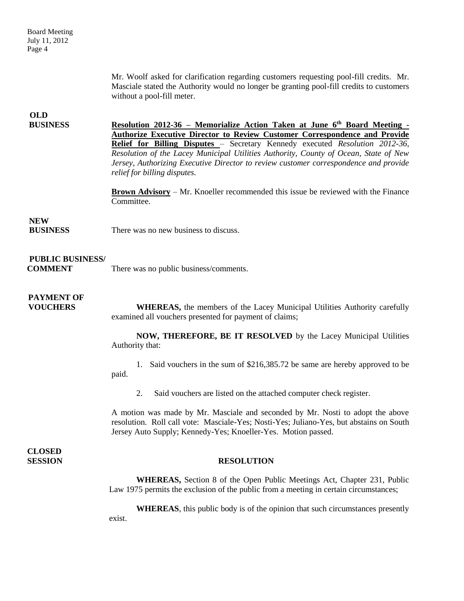Mr. Woolf asked for clarification regarding customers requesting pool-fill credits. Mr. Masciale stated the Authority would no longer be granting pool-fill credits to customers without a pool-fill meter.

### **OLD**

**BUSINESS Resolution 2012-36 – Memorialize Action Taken at June 6th Board Meeting - Authorize Executive Director to Review Customer Correspondence and Provide Relief for Billing Disputes** – Secretary Kennedy executed *Resolution 2012-36, Resolution of the Lacey Municipal Utilities Authority, County of Ocean, State of New Jersey, Authorizing Executive Director to review customer correspondence and provide relief for billing disputes.*

> **Brown Advisory** – Mr. Knoeller recommended this issue be reviewed with the Finance Committee.

#### **NEW**

**BUSINESS** There was no new business to discuss.

#### **PUBLIC BUSINESS/**

**COMMENT** There was no public business/comments.

### **PAYMENT OF**

**VOUCHERS** WHEREAS, the members of the Lacey Municipal Utilities Authority carefully examined all vouchers presented for payment of claims;

> **NOW, THEREFORE, BE IT RESOLVED** by the Lacey Municipal Utilities Authority that:

> 1. Said vouchers in the sum of \$216,385.72 be same are hereby approved to be paid.

2. Said vouchers are listed on the attached computer check register.

A motion was made by Mr. Masciale and seconded by Mr. Nosti to adopt the above resolution. Roll call vote: Masciale-Yes; Nosti-Yes; Juliano-Yes, but abstains on South Jersey Auto Supply; Kennedy-Yes; Knoeller-Yes. Motion passed.

**CLOSED** 

#### **SESSION RESOLUTION**

**WHEREAS,** Section 8 of the Open Public Meetings Act, Chapter 231, Public Law 1975 permits the exclusion of the public from a meeting in certain circumstances;

**WHEREAS**, this public body is of the opinion that such circumstances presently exist.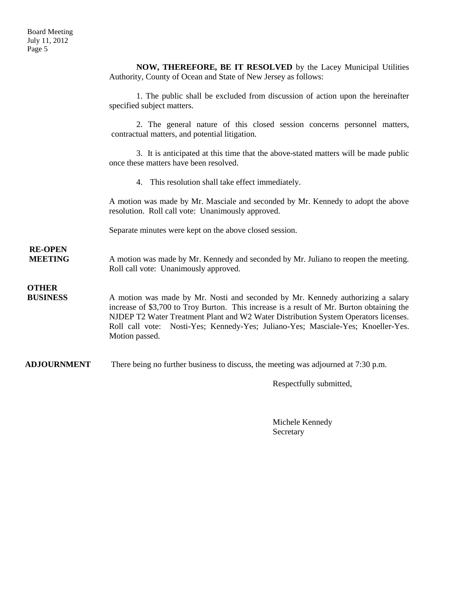**NOW, THEREFORE, BE IT RESOLVED** by the Lacey Municipal Utilities Authority, County of Ocean and State of New Jersey as follows:

1. The public shall be excluded from discussion of action upon the hereinafter specified subject matters.

2. The general nature of this closed session concerns personnel matters, contractual matters, and potential litigation.

3. It is anticipated at this time that the above-stated matters will be made public once these matters have been resolved.

4. This resolution shall take effect immediately.

A motion was made by Mr. Masciale and seconded by Mr. Kennedy to adopt the above resolution. Roll call vote: Unanimously approved.

Separate minutes were kept on the above closed session.

**MEETING** A motion was made by Mr. Kennedy and seconded by Mr. Juliano to reopen the meeting. Roll call vote: Unanimously approved.

**OTHER**

**RE-OPEN**

**BUSINESS** A motion was made by Mr. Nosti and seconded by Mr. Kennedy authorizing a salary increase of \$3,700 to Troy Burton. This increase is a result of Mr. Burton obtaining the NJDEP T2 Water Treatment Plant and W2 Water Distribution System Operators licenses. Roll call vote: Nosti-Yes; Kennedy-Yes; Juliano-Yes; Masciale-Yes; Knoeller-Yes. Motion passed.

**ADJOURNMENT** There being no further business to discuss, the meeting was adjourned at 7:30 p.m.

Respectfully submitted,

Michele Kennedy Secretary